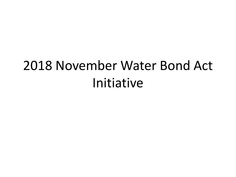# 2018 November Water Bond Act Initiative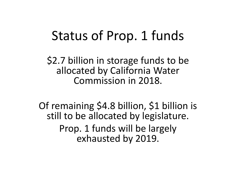## Status of Prop. 1 funds

\$2.7 billion in storage funds to be allocated by California Water Commission in 2018.

Of remaining \$4.8 billion, \$1 billion is still to be allocated by legislature. Prop. 1 funds will be largely exhausted by 2019.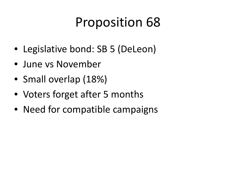# Proposition 68

- Legislative bond: SB 5 (DeLeon)
- June vs November
- Small overlap (18%)
- Voters forget after 5 months
- Need for compatible campaigns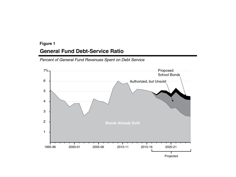#### Figure 1

#### **General Fund Debt-Service Ratio**

Percent of General Fund Revenues Spent on Debt Service

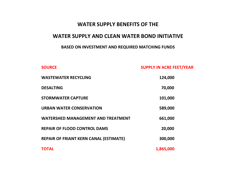#### **WATER SUPPLY BENEFITS OF THE**

#### **WATER SUPPLY AND CLEAN WATER BOND INITIATIVE**

#### **BASED ON INVESTMENT AND REQUIRED MATCHING FUNDS**

**SOURCE SOURCE SUPPLY IN ACRE FEET/YEAR** 

| <b>WASTEWATER RECYCLING</b>                   | 124,000   |
|-----------------------------------------------|-----------|
| <b>DESALTING</b>                              | 70,000    |
| <b>STORMWATER CAPTURE</b>                     | 101,000   |
| <b>URBAN WATER CONSERVATION</b>               | 589,000   |
| <b>WATERSHED MANAGEMENT AND TREATMENT</b>     | 661,000   |
| <b>REPAIR OF FLOOD CONTROL DAMS</b>           | 20,000    |
| <b>REPAIR OF FRIANT KERN CANAL (ESTIMATE)</b> | 300,000   |
| <b>TOTAL</b>                                  | 1,865,000 |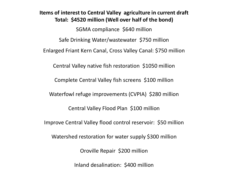#### **Items of interest to Central Valley agriculture in current draft Total: \$4520 million (Well over half of the bond)**

SGMA compliance \$640 million Safe Drinking Water/wastewater \$750 million Enlarged Friant Kern Canal, Cross Valley Canal: \$750 million Central Valley native fish restoration \$1050 million Complete Central Valley fish screens \$100 million Waterfowl refuge improvements (CVPIA) \$280 million Central Valley Flood Plan \$100 million Improve Central Valley flood control reservoir: \$50 million Watershed restoration for water supply \$300 million Oroville Repair \$200 million

Inland desalination: \$400 million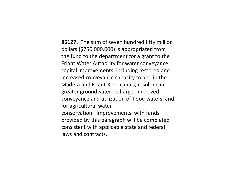**86127.** The sum of seven hundred fifty million dollars (\$750,000,000) is appropriated from the fund to the department for a grant to the Friant Water Authority for water conveyance capital improvements, including restored and increased conveyance capacity to and in the Madera and Friant-Kern canals, resulting in greater groundwater recharge, improved conveyance and utilization of flood waters, and for agricultural water conservation. Improvements with funds provided by this paragraph will be completed consistent with applicable state and federal laws and contracts.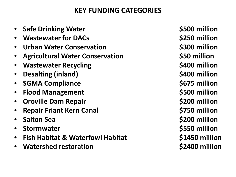### **KEY FUNDING CATEGORIES**

- **Safe Drinking Water \$500 million**
- **Wastewater for DACs by a set of the S250 million**
- **Urban Water Conservation \$300 million**
- **Agricultural Water Conservation \$50 million**
- **Wastewater Recycling 1988 1988 5400 million**
- **Desalting (inland) \$400 million**
- **SGMA Compliance \$675 million**
- **Flood Management \$500 million**
- **Oroville Dam Repair \$200 million**
- **Repair Friant Kern Canal \$750 million**
- **Salton Sea \$200 million**
- **Stormwater \$550 million**
- **Fish Habitat & Waterfowl Habitat \$1450 million**
- **Watershed restoration 1997 12:300 million**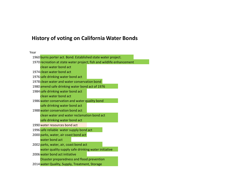#### **History of voting on California Water Bonds**

Year

1960 burns porter act. Bond. Established state water project. 1970 recreation at state water project; fish and wildlife enhancement clean water bond act 1974 clean water bond act 1976 safe drinking water bond act 1978 clean water and water conservation bond 1980 amend safe drinking water bond act of 1976 1984 safe drinking water bond act clean water bond act 1986 water conservation and water quality bond safe drinking water bond act 1988 water conservation bond act clean water and water reclamation bond act safe drinking water bond act 1990 water resources bond act 1996 safe reliable water supply bond act 2000 parks, water, air coast bond act water bond act 2002 parks, water, air, coast bond act water quality supply safe drinking water initiative 2006 water bond act initiative Disaster preparedness and flood prevention 2014 water Quality, Supply, Treatment, Storage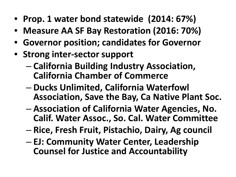- **Prop. 1 water bond statewide (2014: 67%)**
- **Measure AA SF Bay Restoration (2016: 70%)**
- **Governor position; candidates for Governor**
- **Strong inter-sector support**
	- **California Building Industry Association, California Chamber of Commerce**
	- **Ducks Unlimited, California Waterfowl Association, Save the Bay, Ca Native Plant Soc.**
	- **Association of California Water Agencies, No. Calif. Water Assoc., So. Cal. Water Committee**
	- **Rice, Fresh Fruit, Pistachio, Dairy, Ag council**
	- **EJ: Community Water Center, Leadership Counsel for Justice and Accountability**